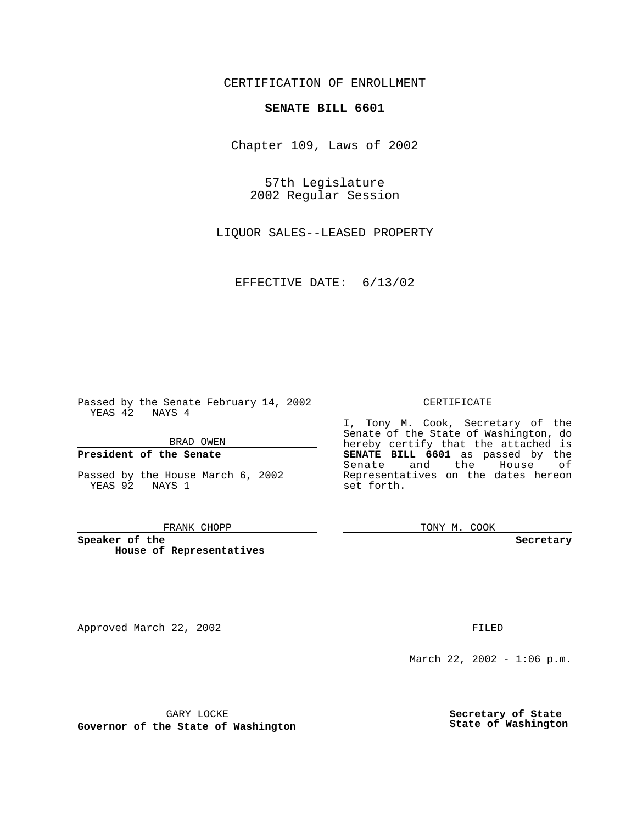CERTIFICATION OF ENROLLMENT

# **SENATE BILL 6601**

Chapter 109, Laws of 2002

57th Legislature 2002 Regular Session

LIQUOR SALES--LEASED PROPERTY

EFFECTIVE DATE: 6/13/02

Passed by the Senate February 14, 2002 YEAS 42 NAYS 4

BRAD OWEN

### **President of the Senate**

Passed by the House March 6, 2002 YEAS 92 NAYS 1

#### FRANK CHOPP

**Speaker of the House of Representatives**

Approved March 22, 2002 **FILED** 

### CERTIFICATE

I, Tony M. Cook, Secretary of the Senate of the State of Washington, do hereby certify that the attached is **SENATE BILL 6601** as passed by the Senate and the House of Representatives on the dates hereon set forth.

TONY M. COOK

**Secretary**

March 22, 2002 - 1:06 p.m.

GARY LOCKE

**Governor of the State of Washington**

**Secretary of State State of Washington**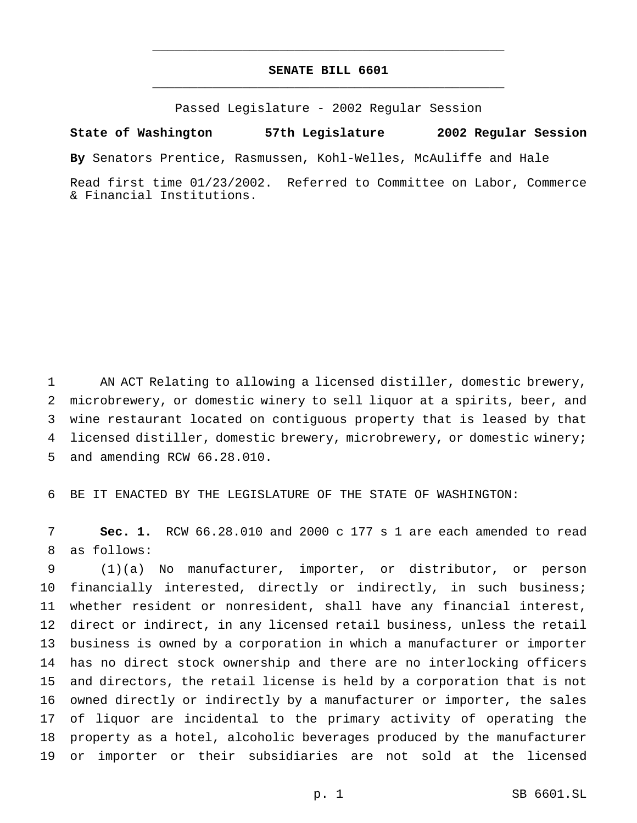## **SENATE BILL 6601** \_\_\_\_\_\_\_\_\_\_\_\_\_\_\_\_\_\_\_\_\_\_\_\_\_\_\_\_\_\_\_\_\_\_\_\_\_\_\_\_\_\_\_\_\_\_\_

\_\_\_\_\_\_\_\_\_\_\_\_\_\_\_\_\_\_\_\_\_\_\_\_\_\_\_\_\_\_\_\_\_\_\_\_\_\_\_\_\_\_\_\_\_\_\_

Passed Legislature - 2002 Regular Session

**State of Washington 57th Legislature 2002 Regular Session**

**By** Senators Prentice, Rasmussen, Kohl-Welles, McAuliffe and Hale

Read first time 01/23/2002. Referred to Committee on Labor, Commerce & Financial Institutions.

 AN ACT Relating to allowing a licensed distiller, domestic brewery, microbrewery, or domestic winery to sell liquor at a spirits, beer, and wine restaurant located on contiguous property that is leased by that licensed distiller, domestic brewery, microbrewery, or domestic winery; and amending RCW 66.28.010.

BE IT ENACTED BY THE LEGISLATURE OF THE STATE OF WASHINGTON:

 **Sec. 1.** RCW 66.28.010 and 2000 c 177 s 1 are each amended to read as follows:

 (1)(a) No manufacturer, importer, or distributor, or person financially interested, directly or indirectly, in such business; whether resident or nonresident, shall have any financial interest, direct or indirect, in any licensed retail business, unless the retail business is owned by a corporation in which a manufacturer or importer has no direct stock ownership and there are no interlocking officers and directors, the retail license is held by a corporation that is not owned directly or indirectly by a manufacturer or importer, the sales of liquor are incidental to the primary activity of operating the property as a hotel, alcoholic beverages produced by the manufacturer or importer or their subsidiaries are not sold at the licensed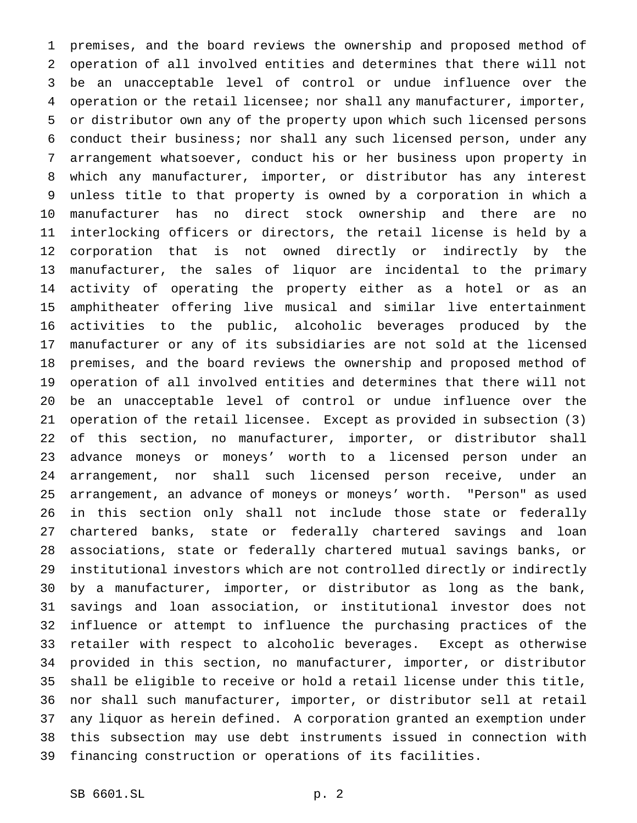premises, and the board reviews the ownership and proposed method of operation of all involved entities and determines that there will not be an unacceptable level of control or undue influence over the operation or the retail licensee; nor shall any manufacturer, importer, or distributor own any of the property upon which such licensed persons conduct their business; nor shall any such licensed person, under any arrangement whatsoever, conduct his or her business upon property in which any manufacturer, importer, or distributor has any interest unless title to that property is owned by a corporation in which a manufacturer has no direct stock ownership and there are no interlocking officers or directors, the retail license is held by a corporation that is not owned directly or indirectly by the manufacturer, the sales of liquor are incidental to the primary activity of operating the property either as a hotel or as an amphitheater offering live musical and similar live entertainment activities to the public, alcoholic beverages produced by the manufacturer or any of its subsidiaries are not sold at the licensed premises, and the board reviews the ownership and proposed method of operation of all involved entities and determines that there will not be an unacceptable level of control or undue influence over the operation of the retail licensee. Except as provided in subsection (3) of this section, no manufacturer, importer, or distributor shall advance moneys or moneys' worth to a licensed person under an arrangement, nor shall such licensed person receive, under an arrangement, an advance of moneys or moneys' worth. "Person" as used in this section only shall not include those state or federally chartered banks, state or federally chartered savings and loan associations, state or federally chartered mutual savings banks, or institutional investors which are not controlled directly or indirectly by a manufacturer, importer, or distributor as long as the bank, savings and loan association, or institutional investor does not influence or attempt to influence the purchasing practices of the retailer with respect to alcoholic beverages. Except as otherwise provided in this section, no manufacturer, importer, or distributor shall be eligible to receive or hold a retail license under this title, nor shall such manufacturer, importer, or distributor sell at retail any liquor as herein defined. A corporation granted an exemption under this subsection may use debt instruments issued in connection with financing construction or operations of its facilities.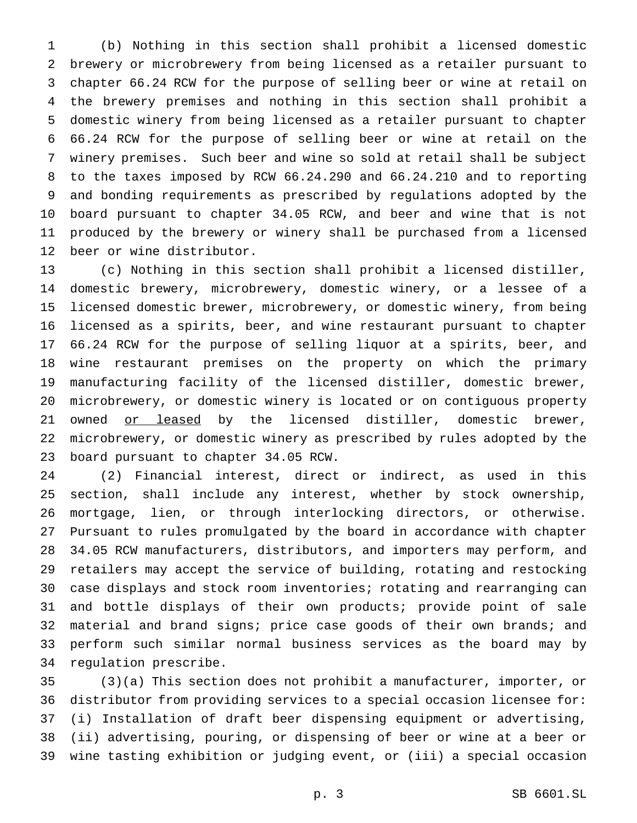(b) Nothing in this section shall prohibit a licensed domestic brewery or microbrewery from being licensed as a retailer pursuant to chapter 66.24 RCW for the purpose of selling beer or wine at retail on the brewery premises and nothing in this section shall prohibit a domestic winery from being licensed as a retailer pursuant to chapter 66.24 RCW for the purpose of selling beer or wine at retail on the winery premises. Such beer and wine so sold at retail shall be subject to the taxes imposed by RCW 66.24.290 and 66.24.210 and to reporting and bonding requirements as prescribed by regulations adopted by the board pursuant to chapter 34.05 RCW, and beer and wine that is not produced by the brewery or winery shall be purchased from a licensed beer or wine distributor.

 (c) Nothing in this section shall prohibit a licensed distiller, domestic brewery, microbrewery, domestic winery, or a lessee of a licensed domestic brewer, microbrewery, or domestic winery, from being licensed as a spirits, beer, and wine restaurant pursuant to chapter 66.24 RCW for the purpose of selling liquor at a spirits, beer, and wine restaurant premises on the property on which the primary manufacturing facility of the licensed distiller, domestic brewer, microbrewery, or domestic winery is located or on contiguous property 21 owned or leased by the licensed distiller, domestic brewer, microbrewery, or domestic winery as prescribed by rules adopted by the board pursuant to chapter 34.05 RCW.

 (2) Financial interest, direct or indirect, as used in this section, shall include any interest, whether by stock ownership, mortgage, lien, or through interlocking directors, or otherwise. Pursuant to rules promulgated by the board in accordance with chapter 34.05 RCW manufacturers, distributors, and importers may perform, and retailers may accept the service of building, rotating and restocking case displays and stock room inventories; rotating and rearranging can and bottle displays of their own products; provide point of sale material and brand signs; price case goods of their own brands; and perform such similar normal business services as the board may by regulation prescribe.

 (3)(a) This section does not prohibit a manufacturer, importer, or distributor from providing services to a special occasion licensee for: (i) Installation of draft beer dispensing equipment or advertising, (ii) advertising, pouring, or dispensing of beer or wine at a beer or wine tasting exhibition or judging event, or (iii) a special occasion